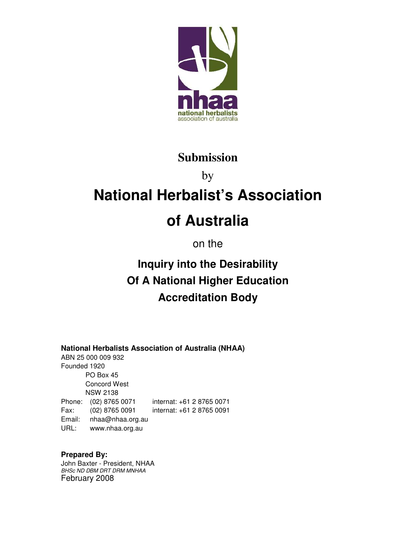

## **Submission**

# by **National Herbalist's Association of Australia**

on the

# **Inquiry into the Desirability Of A National Higher Education Accreditation Body**

**National Herbalists Association of Australia (NHAA)**

ABN 25 000 009 932 Founded 1920 PO Box 45 Concord West NSW 2138 Phone: (02) 8765 0071 internat: +61 2 8765 0071 Fax: (02) 8765 0091 internat: +61 2 8765 0091 Email: nhaa@nhaa.org.au URL: www.nhaa.org.au

**Prepared By:**  John Baxter - President, NHAA BHSc ND DBM DRT DRM MNHAA February 2008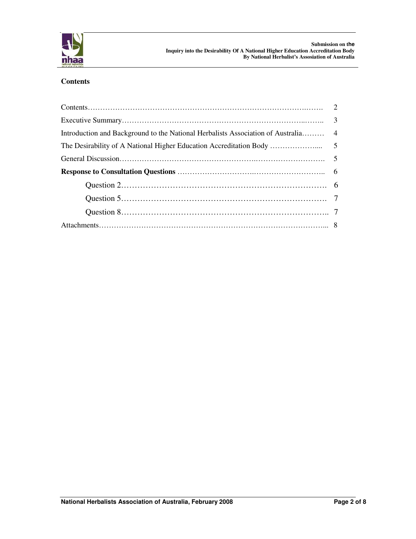

#### **Contents**

| Introduction and Background to the National Herbalists Association of Australia 4 |  |
|-----------------------------------------------------------------------------------|--|
|                                                                                   |  |
|                                                                                   |  |
|                                                                                   |  |
|                                                                                   |  |
|                                                                                   |  |
|                                                                                   |  |
|                                                                                   |  |
|                                                                                   |  |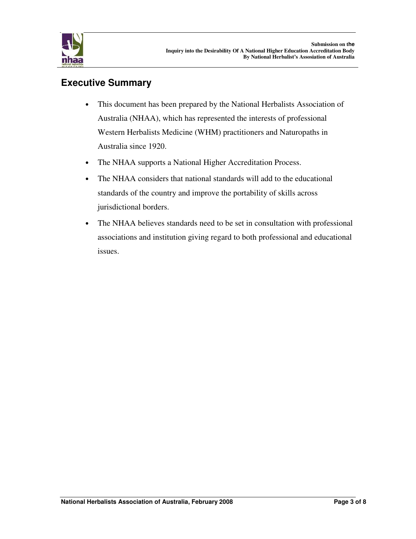

### **Executive Summary**

- This document has been prepared by the National Herbalists Association of Australia (NHAA), which has represented the interests of professional Western Herbalists Medicine (WHM) practitioners and Naturopaths in Australia since 1920.
- The NHAA supports a National Higher Accreditation Process.
- The NHAA considers that national standards will add to the educational standards of the country and improve the portability of skills across jurisdictional borders.
- The NHAA believes standards need to be set in consultation with professional associations and institution giving regard to both professional and educational issues.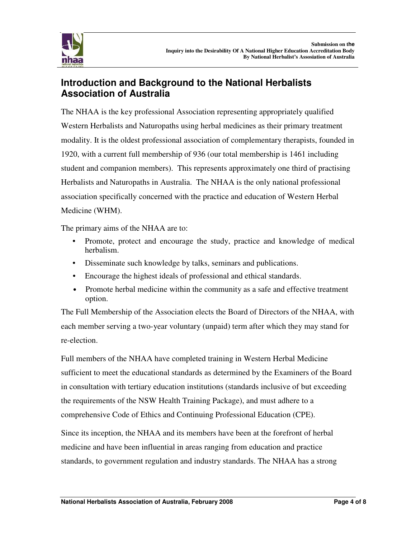

### **Introduction and Background to the National Herbalists Association of Australia**

The NHAA is the key professional Association representing appropriately qualified Western Herbalists and Naturopaths using herbal medicines as their primary treatment modality. It is the oldest professional association of complementary therapists, founded in 1920, with a current full membership of 936 (our total membership is 1461 including student and companion members). This represents approximately one third of practising Herbalists and Naturopaths in Australia. The NHAA is the only national professional association specifically concerned with the practice and education of Western Herbal Medicine (WHM).

The primary aims of the NHAA are to:

- Promote, protect and encourage the study, practice and knowledge of medical herbalism.
- Disseminate such knowledge by talks, seminars and publications.
- Encourage the highest ideals of professional and ethical standards.
- Promote herbal medicine within the community as a safe and effective treatment option.

The Full Membership of the Association elects the Board of Directors of the NHAA, with each member serving a two-year voluntary (unpaid) term after which they may stand for re-election.

Full members of the NHAA have completed training in Western Herbal Medicine sufficient to meet the educational standards as determined by the Examiners of the Board in consultation with tertiary education institutions (standards inclusive of but exceeding the requirements of the NSW Health Training Package), and must adhere to a comprehensive Code of Ethics and Continuing Professional Education (CPE).

Since its inception, the NHAA and its members have been at the forefront of herbal medicine and have been influential in areas ranging from education and practice standards, to government regulation and industry standards. The NHAA has a strong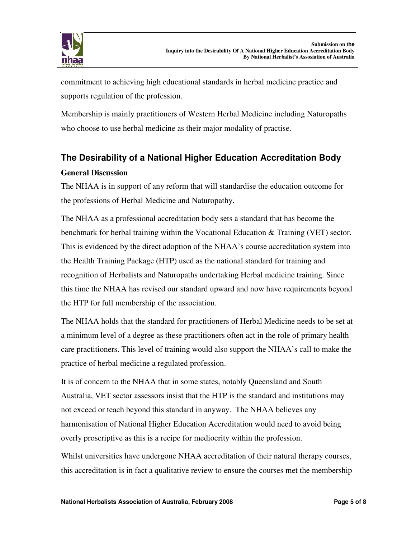

commitment to achieving high educational standards in herbal medicine practice and supports regulation of the profession.

Membership is mainly practitioners of Western Herbal Medicine including Naturopaths who choose to use herbal medicine as their major modality of practise.

### **The Desirability of a National Higher Education Accreditation Body General Discussion**

The NHAA is in support of any reform that will standardise the education outcome for the professions of Herbal Medicine and Naturopathy.

The NHAA as a professional accreditation body sets a standard that has become the benchmark for herbal training within the Vocational Education & Training (VET) sector. This is evidenced by the direct adoption of the NHAA's course accreditation system into the Health Training Package (HTP) used as the national standard for training and recognition of Herbalists and Naturopaths undertaking Herbal medicine training. Since this time the NHAA has revised our standard upward and now have requirements beyond the HTP for full membership of the association.

The NHAA holds that the standard for practitioners of Herbal Medicine needs to be set at a minimum level of a degree as these practitioners often act in the role of primary health care practitioners. This level of training would also support the NHAA's call to make the practice of herbal medicine a regulated profession.

It is of concern to the NHAA that in some states, notably Queensland and South Australia, VET sector assessors insist that the HTP is the standard and institutions may not exceed or teach beyond this standard in anyway. The NHAA believes any harmonisation of National Higher Education Accreditation would need to avoid being overly proscriptive as this is a recipe for mediocrity within the profession.

Whilst universities have undergone NHAA accreditation of their natural therapy courses, this accreditation is in fact a qualitative review to ensure the courses met the membership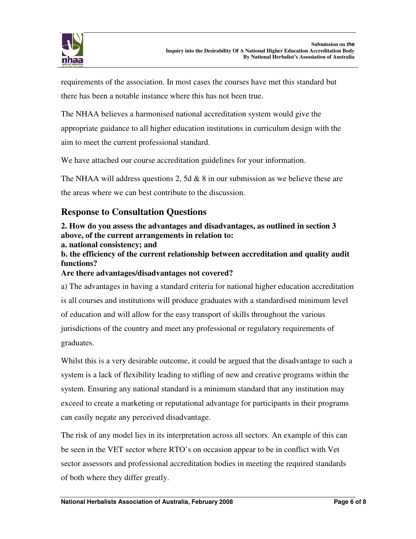

requirements of the association. In most cases the courses have met this standard but there has been a notable instance where this has not been true.

The NHAA believes a harmonised national accreditation system would give the appropriate guidance to all higher education institutions in curriculum design with the aim to meet the current professional standard.

We have attached our course accreditation guidelines for your information.

The NHAA will address questions 2, 5d  $& 8$  in our submission as we believe these are the areas where we can best contribute to the discussion.

### **Response to Consultation Questions**

**2. How do you assess the advantages and disadvantages, as outlined in section 3 above, of the current arrangements in relation to: a. national consistency; and** 

**b. the efficiency of the current relationship between accreditation and quality audit functions?** 

#### **Are there advantages/disadvantages not covered?**

a) The advantages in having a standard criteria for national higher education accreditation is all courses and institutions will produce graduates with a standardised minimum level of education and will allow for the easy transport of skills throughout the various jurisdictions of the country and meet any professional or regulatory requirements of graduates.

Whilst this is a very desirable outcome, it could be argued that the disadvantage to such a system is a lack of flexibility leading to stifling of new and creative programs within the system. Ensuring any national standard is a minimum standard that any institution may exceed to create a marketing or reputational advantage for participants in their programs can easily negate any perceived disadvantage.

The risk of any model lies in its interpretation across all sectors. An example of this can be seen in the VET sector where RTO's on occasion appear to be in conflict with Vet sector assessors and professional accreditation bodies in meeting the required standards of both where they differ greatly.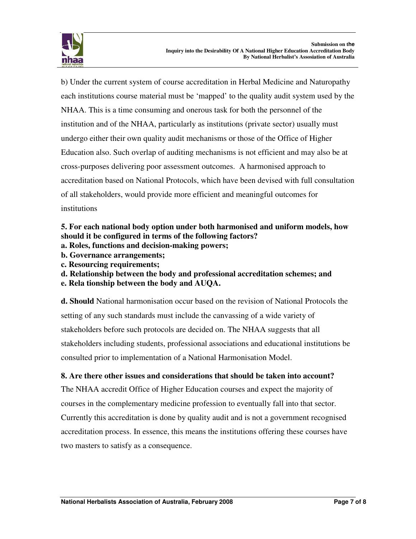

b) Under the current system of course accreditation in Herbal Medicine and Naturopathy each institutions course material must be 'mapped' to the quality audit system used by the NHAA. This is a time consuming and onerous task for both the personnel of the institution and of the NHAA, particularly as institutions (private sector) usually must undergo either their own quality audit mechanisms or those of the Office of Higher Education also. Such overlap of auditing mechanisms is not efficient and may also be at cross-purposes delivering poor assessment outcomes. A harmonised approach to accreditation based on National Protocols, which have been devised with full consultation of all stakeholders, would provide more efficient and meaningful outcomes for institutions

### **5. For each national body option under both harmonised and uniform models, how should it be configured in terms of the following factors?**

- **a. Roles, functions and decision-making powers;**
- **b. Governance arrangements;**
- **c. Resourcing requirements;**
- **d. Relationship between the body and professional accreditation schemes; and**
- **e. Rela tionship between the body and AUQA.**

**d. Should** National harmonisation occur based on the revision of National Protocols the setting of any such standards must include the canvassing of a wide variety of stakeholders before such protocols are decided on. The NHAA suggests that all stakeholders including students, professional associations and educational institutions be consulted prior to implementation of a National Harmonisation Model.

### **8. Are there other issues and considerations that should be taken into account?**

The NHAA accredit Office of Higher Education courses and expect the majority of courses in the complementary medicine profession to eventually fall into that sector. Currently this accreditation is done by quality audit and is not a government recognised accreditation process. In essence, this means the institutions offering these courses have two masters to satisfy as a consequence.